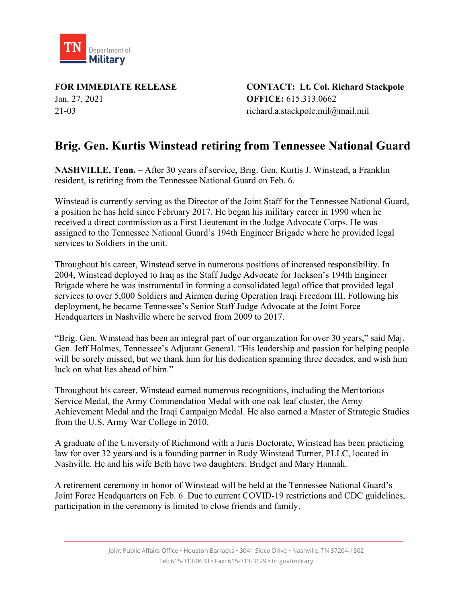

Jan. 27, 2021 **OFFICE:** 615.313.0662 21-03 richard.a.stackpole.mil@mail.mil

**FOR IMMEDIATE RELEASE CONTACT: Lt. Col. Richard Stackpole**

## **Brig. Gen. Kurtis Winstead retiring from Tennessee National Guard**

**NASHVILLE, Tenn.** – After 30 years of service, Brig. Gen. Kurtis J. Winstead, a Franklin resident, is retiring from the Tennessee National Guard on Feb. 6.

Winstead is currently serving as the Director of the Joint Staff for the Tennessee National Guard, a position he has held since February 2017. He began his military career in 1990 when he received a direct commission as a First Lieutenant in the Judge Advocate Corps. He was assigned to the Tennessee National Guard's 194th Engineer Brigade where he provided legal services to Soldiers in the unit.

Throughout his career, Winstead serve in numerous positions of increased responsibility. In 2004, Winstead deployed to Iraq as the Staff Judge Advocate for Jackson's 194th Engineer Brigade where he was instrumental in forming a consolidated legal office that provided legal services to over 5,000 Soldiers and Airmen during Operation Iraqi Freedom III. Following his deployment, he became Tennessee's Senior Staff Judge Advocate at the Joint Force Headquarters in Nashville where he served from 2009 to 2017.

"Brig. Gen. Winstead has been an integral part of our organization for over 30 years," said Maj. Gen. Jeff Holmes, Tennessee's Adjutant General. "His leadership and passion for helping people will be sorely missed, but we thank him for his dedication spanning three decades, and wish him luck on what lies ahead of him."

Throughout his career, Winstead earned numerous recognitions, including the Meritorious Service Medal, the Army Commendation Medal with one oak leaf cluster, the Army Achievement Medal and the Iraqi Campaign Medal. He also earned a Master of Strategic Studies from the U.S. Army War College in 2010.

A graduate of the University of Richmond with a Juris Doctorate, Winstead has been practicing law for over 32 years and is a founding partner in Rudy Winstead Turner, PLLC, located in Nashville. He and his wife Beth have two daughters: Bridget and Mary Hannah.

A retirement ceremony in honor of Winstead will be held at the Tennessee National Guard's Joint Force Headquarters on Feb. 6. Due to current COVID-19 restrictions and CDC guidelines, participation in the ceremony is limited to close friends and family.